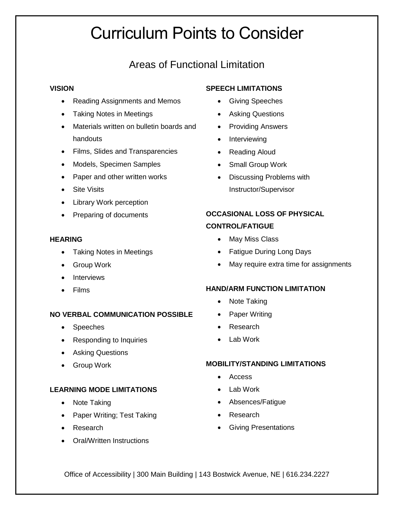# Curriculum Points to Consider

## Areas of Functional Limitation

#### **VISION**

- Reading Assignments and Memos
- Taking Notes in Meetings
- Materials written on bulletin boards and handouts
- Films, Slides and Transparencies
- Models, Specimen Samples
- Paper and other written works
- Site Visits
- Library Work perception
- Preparing of documents

## **HEARING**

- Taking Notes in Meetings
- Group Work
- Interviews
- Films

## **NO VERBAL COMMUNICATION POSSIBLE**

- Speeches
- Responding to Inquiries
- Asking Questions
- Group Work

## **LEARNING MODE LIMITATIONS**

- Note Taking
- Paper Writing; Test Taking
- Research
- Oral/Written Instructions

## **SPEECH LIMITATIONS**

- Giving Speeches
- Asking Questions
- Providing Answers
- Interviewing
- Reading Aloud
- Small Group Work
- Discussing Problems with Instructor/Supervisor

## **OCCASIONAL LOSS OF PHYSICAL CONTROL/FATIGUE**

- May Miss Class
- Fatigue During Long Days
- May require extra time for assignments

## **HAND/ARM FUNCTION LIMITATION**

- Note Taking
- Paper Writing
- Research
- Lab Work

## **MOBILITY/STANDING LIMITATIONS**

- Access
- Lab Work
- Absences/Fatigue
- Research
- Giving Presentations

Office of Accessibility | 300 Main Building | 143 Bostwick Avenue, NE | 616.234.2227